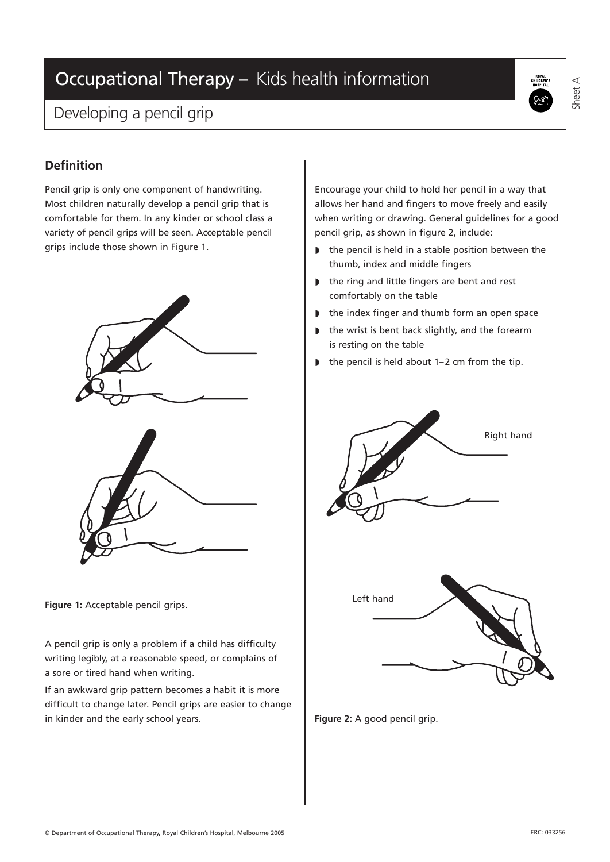# Occupational Therapy – Kids health information

### Developing a pencil grip



Sheet A

### **Definition**

Pencil grip is only one component of handwriting. Most children naturally develop a pencil grip that is comfortable for them. In any kinder or school class a variety of pencil grips will be seen. Acceptable pencil grips include those shown in Figure 1.



**Figure 1:** Acceptable pencil grips.

A pencil grip is only a problem if a child has difficulty writing legibly, at a reasonable speed, or complains of a sore or tired hand when writing.

If an awkward grip pattern becomes a habit it is more difficult to change later. Pencil grips are easier to change in kinder and the early school years.

Encourage your child to hold her pencil in a way that allows her hand and fingers to move freely and easily when writing or drawing. General guidelines for a good pencil grip, as shown in figure 2, include:

- ◗ the pencil is held in a stable position between the thumb, index and middle fingers
- ◗ the ring and little fingers are bent and rest comfortably on the table
- the index finger and thumb form an open space
- ◗ the wrist is bent back slightly, and the forearm is resting on the table
- ◗ the pencil is held about 1–2 cm from the tip.





**Figure 2:** A good pencil grip.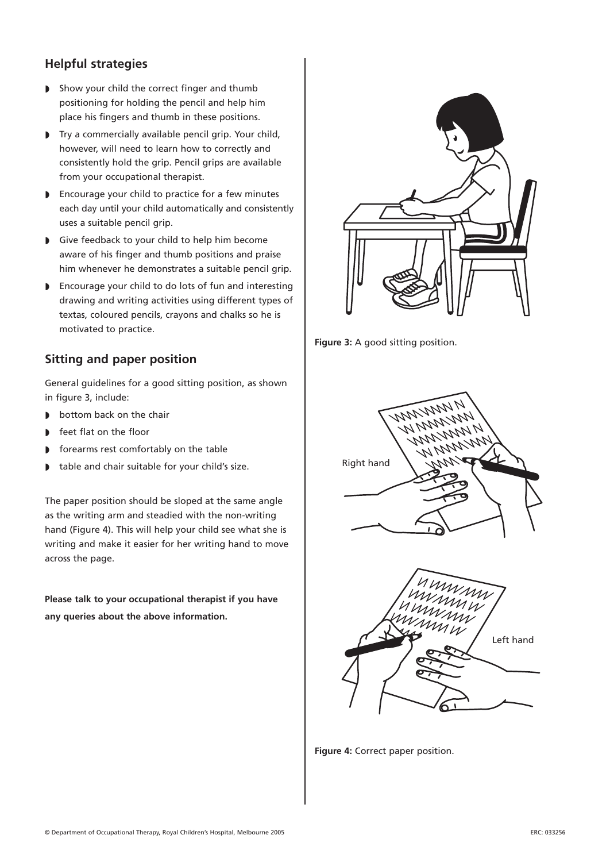### **Helpful strategies**

- ◗ Show your child the correct finger and thumb positioning for holding the pencil and help him place his fingers and thumb in these positions.
- ◗ Try a commercially available pencil grip. Your child, however, will need to learn how to correctly and consistently hold the grip. Pencil grips are available from your occupational therapist.
- ◗ Encourage your child to practice for a few minutes each day until your child automatically and consistently uses a suitable pencil grip.
- ◗ Give feedback to your child to help him become aware of his finger and thumb positions and praise him whenever he demonstrates a suitable pencil grip.
- ◗ Encourage your child to do lots of fun and interesting drawing and writing activities using different types of textas, coloured pencils, crayons and chalks so he is motivated to practice.

### **Sitting and paper position**

General guidelines for a good sitting position, as shown in figure 3, include:

- ◗ bottom back on the chair
- feet flat on the floor
- ◗ forearms rest comfortably on the table
- ◗ table and chair suitable for your child's size.

The paper position should be sloped at the same angle as the writing arm and steadied with the non-writing hand (Figure 4). This will help your child see what she is writing and make it easier for her writing hand to move across the page.

**Please talk to your occupational therapist if you have any queries about the above information.**



**Figure 3:** A good sitting position.





**Figure 4:** Correct paper position.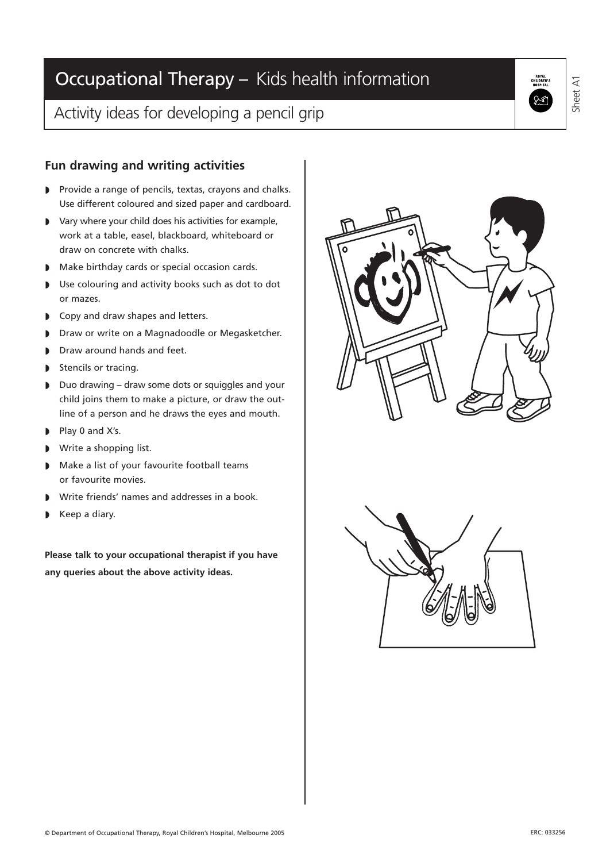# Occupational Therapy – Kids health information

## Activity ideas for developing a pencil grip

#### **Fun drawing and writing activities**

- ◗ Provide a range of pencils, textas, crayons and chalks. Use different coloured and sized paper and cardboard.
- ◗ Vary where your child does his activities for example, work at a table, easel, blackboard, whiteboard or draw on concrete with chalks.
- ◗ Make birthday cards or special occasion cards.
- ◗ Use colouring and activity books such as dot to dot or mazes.
- ◗ Copy and draw shapes and letters.
- ◗ Draw or write on a Magnadoodle or Megasketcher.
- ◗ Draw around hands and feet.
- ◗ Stencils or tracing.
- ◗ Duo drawing draw some dots or squiggles and your child joins them to make a picture, or draw the outline of a person and he draws the eyes and mouth.
- ◗ Play 0 and X's.
- Write a shopping list.
- ◗ Make a list of your favourite football teams or favourite movies.
- ◗ Write friends' names and addresses in a book.
- Keep a diary.

**Please talk to your occupational therapist if you have any queries about the above activity ideas.**





Sheet A1

HUI<br>CHILDI<br>HOSB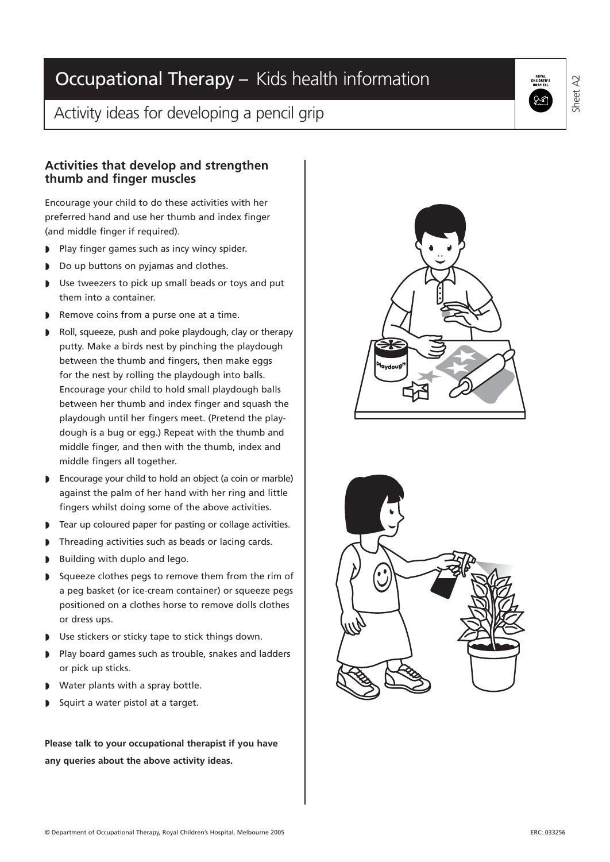### Activity ideas for developing a pencil grip

#### **Activities that develop and strengthen thumb and finger muscles**

Encourage your child to do these activities with her preferred hand and use her thumb and index finger (and middle finger if required).

- ◗ Play finger games such as incy wincy spider.
- ◗ Do up buttons on pyjamas and clothes.
- ◗ Use tweezers to pick up small beads or toys and put them into a container.
- ◗ Remove coins from a purse one at a time.
- ◗ Roll, squeeze, push and poke playdough, clay or therapy putty. Make a birds nest by pinching the playdough between the thumb and fingers, then make eggs for the nest by rolling the playdough into balls. Encourage your child to hold small playdough balls between her thumb and index finger and squash the playdough until her fingers meet. (Pretend the playdough is a bug or egg.) Repeat with the thumb and middle finger, and then with the thumb, index and middle fingers all together.
- ◗ Encourage your child to hold an object (a coin or marble) against the palm of her hand with her ring and little fingers whilst doing some of the above activities.
- ◗ Tear up coloured paper for pasting or collage activities.
- ◗ Threading activities such as beads or lacing cards.
- Building with duplo and lego.
- ◗ Squeeze clothes pegs to remove them from the rim of a peg basket (or ice-cream container) or squeeze pegs positioned on a clothes horse to remove dolls clothes or dress ups.
- ◗ Use stickers or sticky tape to stick things down.
- ◗ Play board games such as trouble, snakes and ladders or pick up sticks.
- ◗ Water plants with a spray bottle.
- Squirt a water pistol at a target.

**Please talk to your occupational therapist if you have any queries about the above activity ideas.**